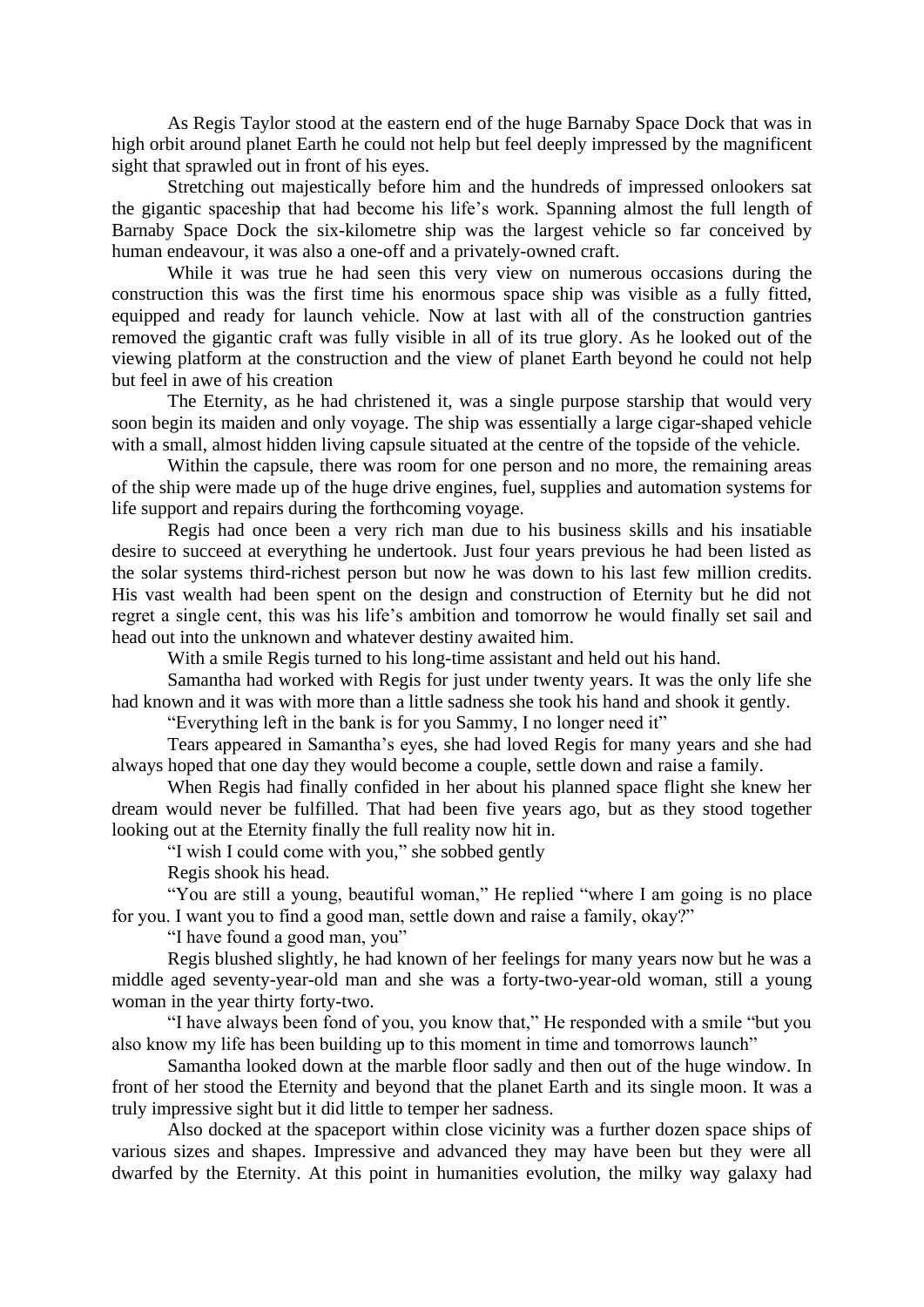As Regis Taylor stood at the eastern end of the huge Barnaby Space Dock that was in high orbit around planet Earth he could not help but feel deeply impressed by the magnificent sight that sprawled out in front of his eyes.

Stretching out majestically before him and the hundreds of impressed onlookers sat the gigantic spaceship that had become his life's work. Spanning almost the full length of Barnaby Space Dock the six-kilometre ship was the largest vehicle so far conceived by human endeavour, it was also a one-off and a privately-owned craft.

While it was true he had seen this very view on numerous occasions during the construction this was the first time his enormous space ship was visible as a fully fitted, equipped and ready for launch vehicle. Now at last with all of the construction gantries removed the gigantic craft was fully visible in all of its true glory. As he looked out of the viewing platform at the construction and the view of planet Earth beyond he could not help but feel in awe of his creation

The Eternity, as he had christened it, was a single purpose starship that would very soon begin its maiden and only voyage. The ship was essentially a large cigar-shaped vehicle with a small, almost hidden living capsule situated at the centre of the topside of the vehicle.

Within the capsule, there was room for one person and no more, the remaining areas of the ship were made up of the huge drive engines, fuel, supplies and automation systems for life support and repairs during the forthcoming voyage.

Regis had once been a very rich man due to his business skills and his insatiable desire to succeed at everything he undertook. Just four years previous he had been listed as the solar systems third-richest person but now he was down to his last few million credits. His vast wealth had been spent on the design and construction of Eternity but he did not regret a single cent, this was his life's ambition and tomorrow he would finally set sail and head out into the unknown and whatever destiny awaited him.

With a smile Regis turned to his long-time assistant and held out his hand.

Samantha had worked with Regis for just under twenty years. It was the only life she had known and it was with more than a little sadness she took his hand and shook it gently.

"Everything left in the bank is for you Sammy, I no longer need it"

Tears appeared in Samantha's eyes, she had loved Regis for many years and she had always hoped that one day they would become a couple, settle down and raise a family.

When Regis had finally confided in her about his planned space flight she knew her dream would never be fulfilled. That had been five years ago, but as they stood together looking out at the Eternity finally the full reality now hit in.

"I wish I could come with you," she sobbed gently

Regis shook his head.

"You are still a young, beautiful woman," He replied "where I am going is no place for you. I want you to find a good man, settle down and raise a family, okay?"

"I have found a good man, you"

Regis blushed slightly, he had known of her feelings for many years now but he was a middle aged seventy-year-old man and she was a forty-two-year-old woman, still a young woman in the year thirty forty-two.

"I have always been fond of you, you know that," He responded with a smile "but you also know my life has been building up to this moment in time and tomorrows launch"

Samantha looked down at the marble floor sadly and then out of the huge window. In front of her stood the Eternity and beyond that the planet Earth and its single moon. It was a truly impressive sight but it did little to temper her sadness.

Also docked at the spaceport within close vicinity was a further dozen space ships of various sizes and shapes. Impressive and advanced they may have been but they were all dwarfed by the Eternity. At this point in humanities evolution, the milky way galaxy had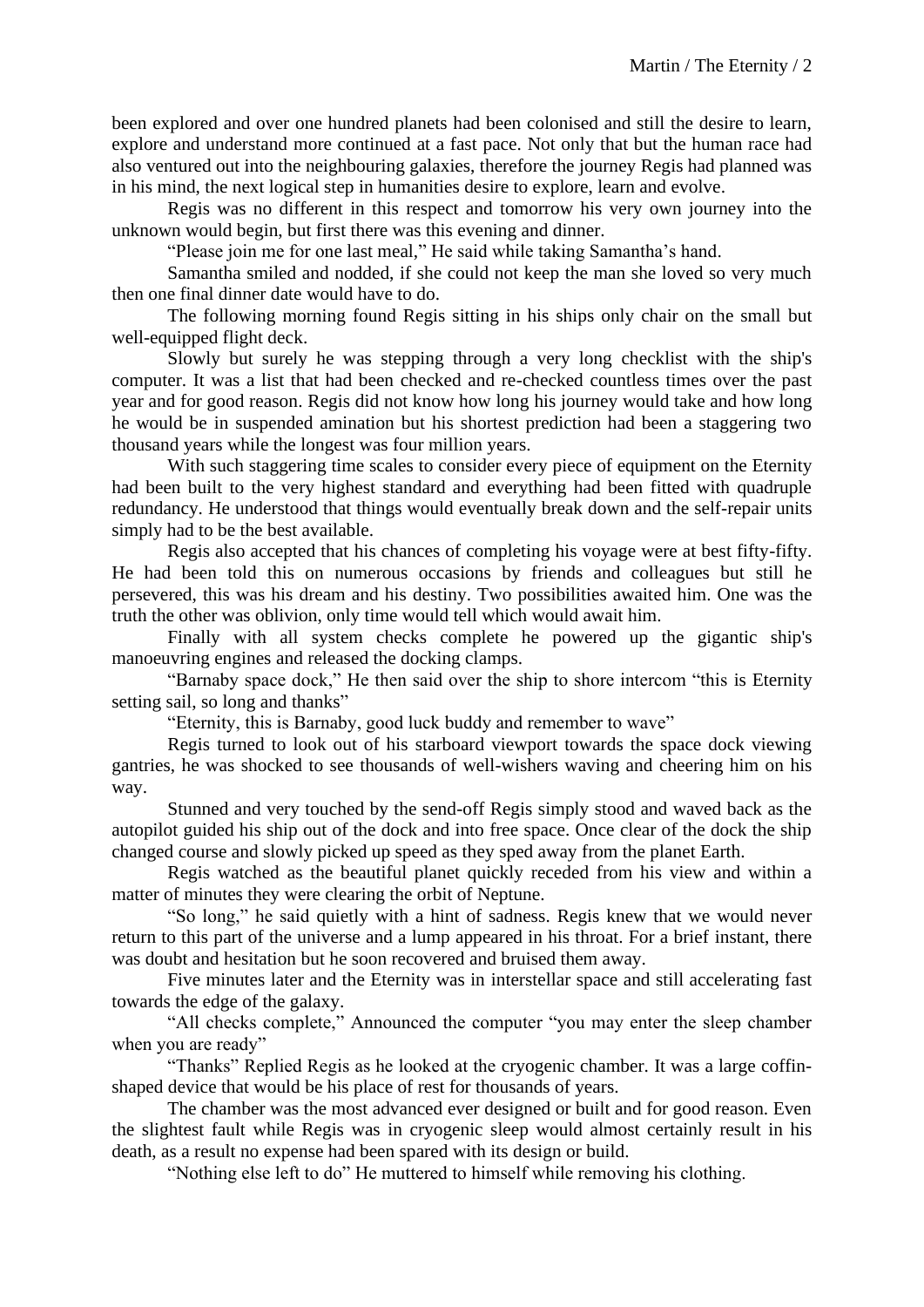been explored and over one hundred planets had been colonised and still the desire to learn, explore and understand more continued at a fast pace. Not only that but the human race had also ventured out into the neighbouring galaxies, therefore the journey Regis had planned was in his mind, the next logical step in humanities desire to explore, learn and evolve.

Regis was no different in this respect and tomorrow his very own journey into the unknown would begin, but first there was this evening and dinner.

"Please join me for one last meal," He said while taking Samantha's hand.

Samantha smiled and nodded, if she could not keep the man she loved so very much then one final dinner date would have to do.

The following morning found Regis sitting in his ships only chair on the small but well-equipped flight deck.

Slowly but surely he was stepping through a very long checklist with the ship's computer. It was a list that had been checked and re-checked countless times over the past year and for good reason. Regis did not know how long his journey would take and how long he would be in suspended amination but his shortest prediction had been a staggering two thousand years while the longest was four million years.

With such staggering time scales to consider every piece of equipment on the Eternity had been built to the very highest standard and everything had been fitted with quadruple redundancy. He understood that things would eventually break down and the self-repair units simply had to be the best available.

Regis also accepted that his chances of completing his voyage were at best fifty-fifty. He had been told this on numerous occasions by friends and colleagues but still he persevered, this was his dream and his destiny. Two possibilities awaited him. One was the truth the other was oblivion, only time would tell which would await him.

Finally with all system checks complete he powered up the gigantic ship's manoeuvring engines and released the docking clamps.

"Barnaby space dock," He then said over the ship to shore intercom "this is Eternity setting sail, so long and thanks"

"Eternity, this is Barnaby, good luck buddy and remember to wave"

Regis turned to look out of his starboard viewport towards the space dock viewing gantries, he was shocked to see thousands of well-wishers waving and cheering him on his way.

Stunned and very touched by the send-off Regis simply stood and waved back as the autopilot guided his ship out of the dock and into free space. Once clear of the dock the ship changed course and slowly picked up speed as they sped away from the planet Earth.

Regis watched as the beautiful planet quickly receded from his view and within a matter of minutes they were clearing the orbit of Neptune.

"So long," he said quietly with a hint of sadness. Regis knew that we would never return to this part of the universe and a lump appeared in his throat. For a brief instant, there was doubt and hesitation but he soon recovered and bruised them away.

Five minutes later and the Eternity was in interstellar space and still accelerating fast towards the edge of the galaxy.

"All checks complete," Announced the computer "you may enter the sleep chamber when you are ready"

"Thanks" Replied Regis as he looked at the cryogenic chamber. It was a large coffinshaped device that would be his place of rest for thousands of years.

The chamber was the most advanced ever designed or built and for good reason. Even the slightest fault while Regis was in cryogenic sleep would almost certainly result in his death, as a result no expense had been spared with its design or build.

"Nothing else left to do" He muttered to himself while removing his clothing.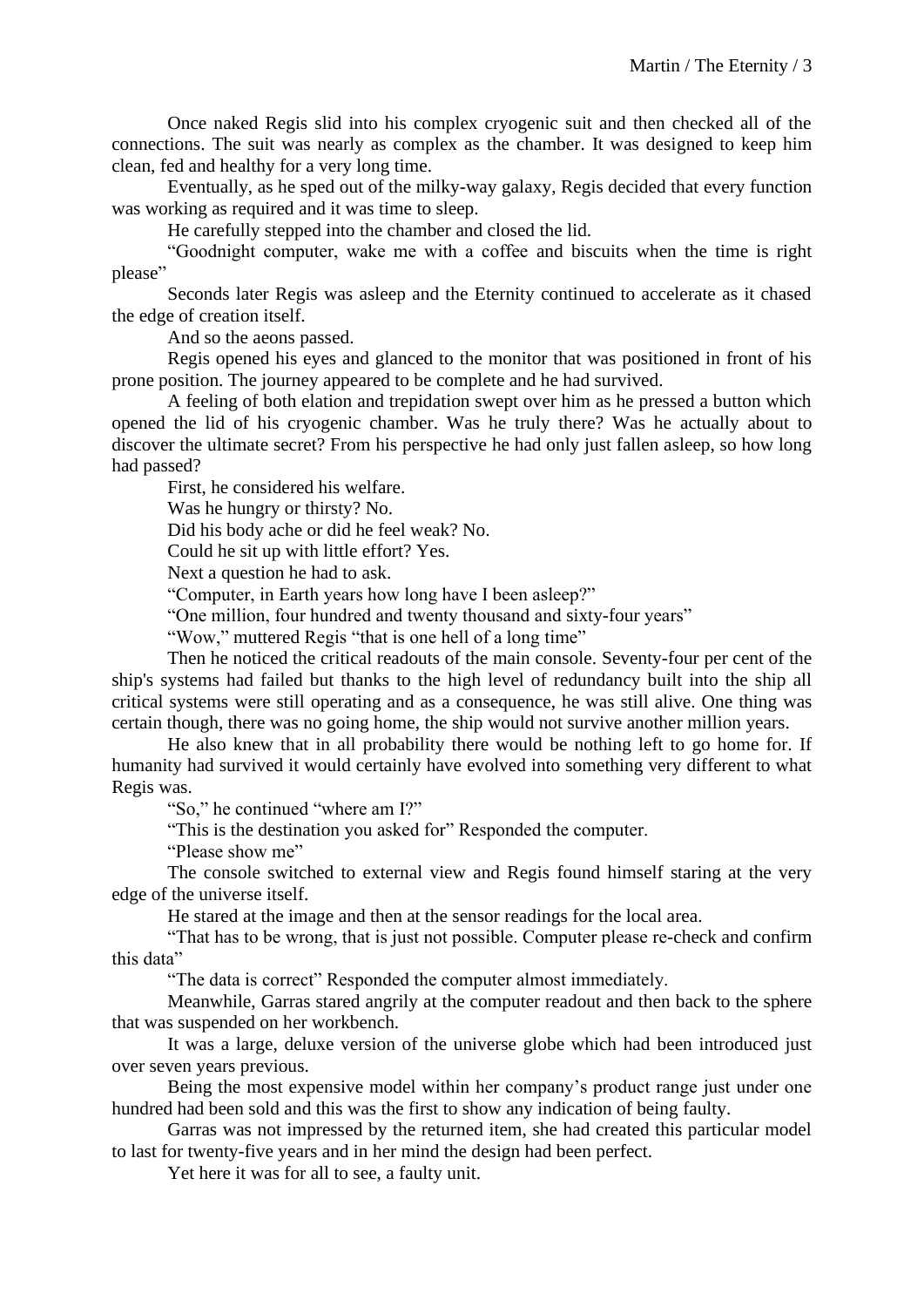Once naked Regis slid into his complex cryogenic suit and then checked all of the connections. The suit was nearly as complex as the chamber. It was designed to keep him clean, fed and healthy for a very long time.

Eventually, as he sped out of the milky-way galaxy, Regis decided that every function was working as required and it was time to sleep.

He carefully stepped into the chamber and closed the lid.

"Goodnight computer, wake me with a coffee and biscuits when the time is right please"

Seconds later Regis was asleep and the Eternity continued to accelerate as it chased the edge of creation itself.

And so the aeons passed.

Regis opened his eyes and glanced to the monitor that was positioned in front of his prone position. The journey appeared to be complete and he had survived.

A feeling of both elation and trepidation swept over him as he pressed a button which opened the lid of his cryogenic chamber. Was he truly there? Was he actually about to discover the ultimate secret? From his perspective he had only just fallen asleep, so how long had passed?

First, he considered his welfare.

Was he hungry or thirsty? No.

Did his body ache or did he feel weak? No.

Could he sit up with little effort? Yes.

Next a question he had to ask.

"Computer, in Earth years how long have I been asleep?"

"One million, four hundred and twenty thousand and sixty-four years"

"Wow," muttered Regis "that is one hell of a long time"

Then he noticed the critical readouts of the main console. Seventy-four per cent of the ship's systems had failed but thanks to the high level of redundancy built into the ship all critical systems were still operating and as a consequence, he was still alive. One thing was certain though, there was no going home, the ship would not survive another million years.

He also knew that in all probability there would be nothing left to go home for. If humanity had survived it would certainly have evolved into something very different to what Regis was.

"So," he continued "where am I?"

"This is the destination you asked for" Responded the computer.

"Please show me"

The console switched to external view and Regis found himself staring at the very edge of the universe itself.

He stared at the image and then at the sensor readings for the local area.

"That has to be wrong, that is just not possible. Computer please re-check and confirm this data"

"The data is correct" Responded the computer almost immediately.

Meanwhile, Garras stared angrily at the computer readout and then back to the sphere that was suspended on her workbench.

It was a large, deluxe version of the universe globe which had been introduced just over seven years previous.

Being the most expensive model within her company's product range just under one hundred had been sold and this was the first to show any indication of being faulty.

Garras was not impressed by the returned item, she had created this particular model to last for twenty-five years and in her mind the design had been perfect.

Yet here it was for all to see, a faulty unit.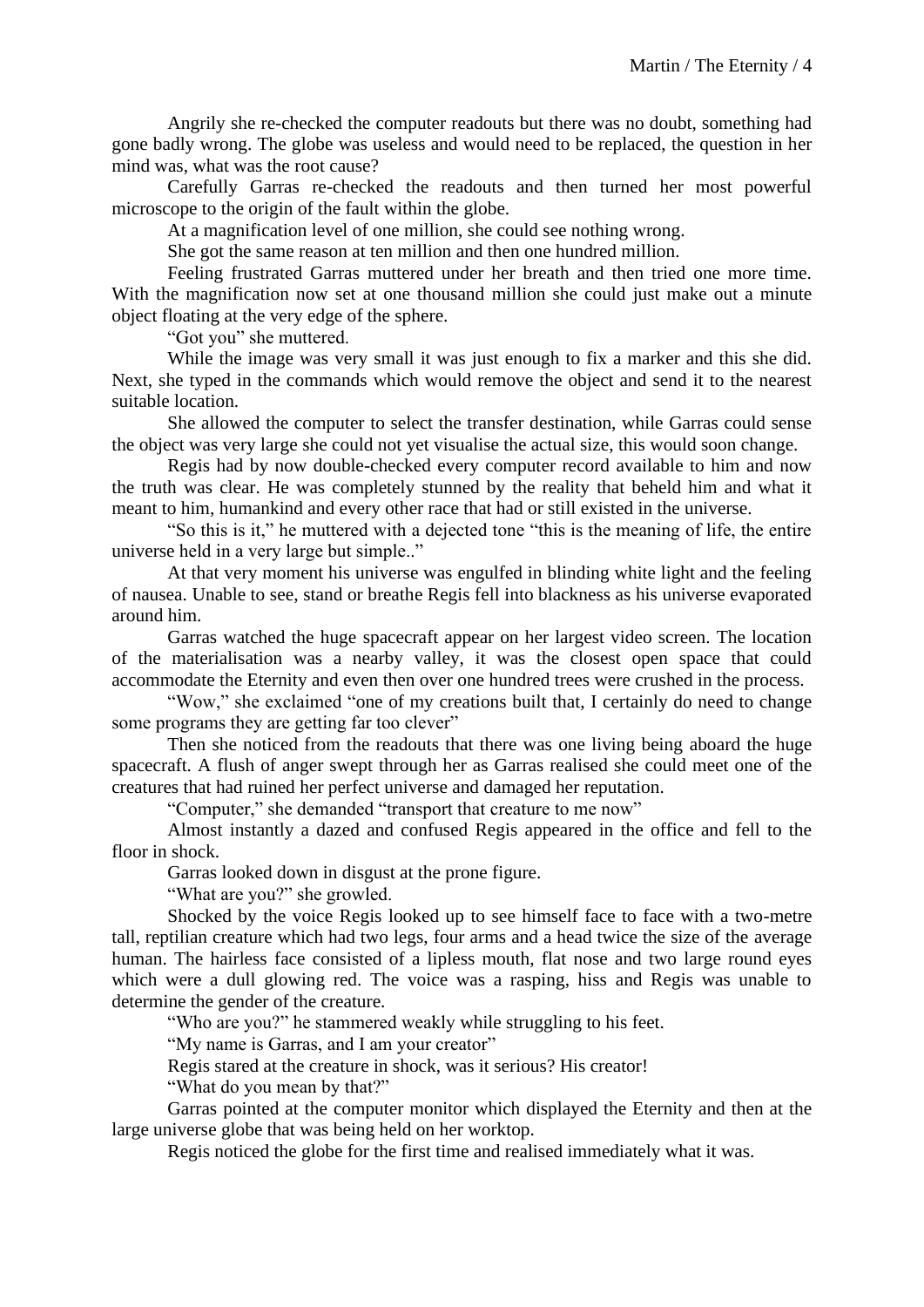Angrily she re-checked the computer readouts but there was no doubt, something had gone badly wrong. The globe was useless and would need to be replaced, the question in her mind was, what was the root cause?

Carefully Garras re-checked the readouts and then turned her most powerful microscope to the origin of the fault within the globe.

At a magnification level of one million, she could see nothing wrong.

She got the same reason at ten million and then one hundred million.

Feeling frustrated Garras muttered under her breath and then tried one more time. With the magnification now set at one thousand million she could just make out a minute object floating at the very edge of the sphere.

"Got you" she muttered.

While the image was very small it was just enough to fix a marker and this she did. Next, she typed in the commands which would remove the object and send it to the nearest suitable location.

She allowed the computer to select the transfer destination, while Garras could sense the object was very large she could not yet visualise the actual size, this would soon change.

Regis had by now double-checked every computer record available to him and now the truth was clear. He was completely stunned by the reality that beheld him and what it meant to him, humankind and every other race that had or still existed in the universe.

"So this is it," he muttered with a dejected tone "this is the meaning of life, the entire universe held in a very large but simple.."

At that very moment his universe was engulfed in blinding white light and the feeling of nausea. Unable to see, stand or breathe Regis fell into blackness as his universe evaporated around him.

Garras watched the huge spacecraft appear on her largest video screen. The location of the materialisation was a nearby valley, it was the closest open space that could accommodate the Eternity and even then over one hundred trees were crushed in the process.

"Wow," she exclaimed "one of my creations built that, I certainly do need to change some programs they are getting far too clever"

Then she noticed from the readouts that there was one living being aboard the huge spacecraft. A flush of anger swept through her as Garras realised she could meet one of the creatures that had ruined her perfect universe and damaged her reputation.

"Computer," she demanded "transport that creature to me now"

Almost instantly a dazed and confused Regis appeared in the office and fell to the floor in shock.

Garras looked down in disgust at the prone figure.

"What are you?" she growled.

Shocked by the voice Regis looked up to see himself face to face with a two-metre tall, reptilian creature which had two legs, four arms and a head twice the size of the average human. The hairless face consisted of a lipless mouth, flat nose and two large round eyes which were a dull glowing red. The voice was a rasping, hiss and Regis was unable to determine the gender of the creature.

"Who are you?" he stammered weakly while struggling to his feet.

"My name is Garras, and I am your creator"

Regis stared at the creature in shock, was it serious? His creator!

"What do you mean by that?"

Garras pointed at the computer monitor which displayed the Eternity and then at the large universe globe that was being held on her worktop.

Regis noticed the globe for the first time and realised immediately what it was.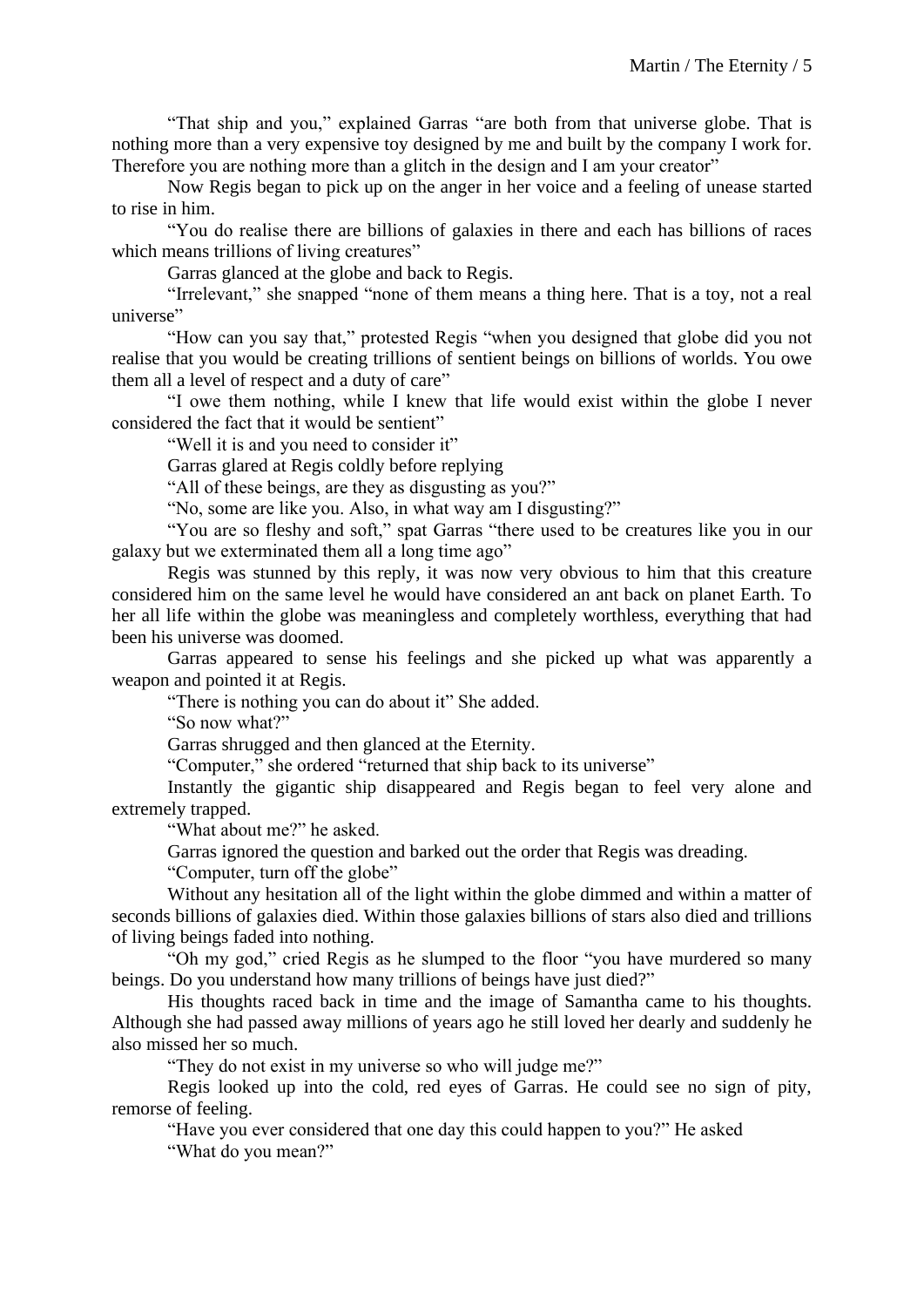"That ship and you," explained Garras "are both from that universe globe. That is nothing more than a very expensive toy designed by me and built by the company I work for. Therefore you are nothing more than a glitch in the design and I am your creator"

Now Regis began to pick up on the anger in her voice and a feeling of unease started to rise in him.

"You do realise there are billions of galaxies in there and each has billions of races which means trillions of living creatures"

Garras glanced at the globe and back to Regis.

"Irrelevant," she snapped "none of them means a thing here. That is a toy, not a real universe"

"How can you say that," protested Regis "when you designed that globe did you not realise that you would be creating trillions of sentient beings on billions of worlds. You owe them all a level of respect and a duty of care"

"I owe them nothing, while I knew that life would exist within the globe I never considered the fact that it would be sentient"

"Well it is and you need to consider it"

Garras glared at Regis coldly before replying

"All of these beings, are they as disgusting as you?"

"No, some are like you. Also, in what way am I disgusting?"

"You are so fleshy and soft," spat Garras "there used to be creatures like you in our galaxy but we exterminated them all a long time ago"

Regis was stunned by this reply, it was now very obvious to him that this creature considered him on the same level he would have considered an ant back on planet Earth. To her all life within the globe was meaningless and completely worthless, everything that had been his universe was doomed.

Garras appeared to sense his feelings and she picked up what was apparently a weapon and pointed it at Regis.

"There is nothing you can do about it" She added.

"So now what?"

Garras shrugged and then glanced at the Eternity.

"Computer," she ordered "returned that ship back to its universe"

Instantly the gigantic ship disappeared and Regis began to feel very alone and extremely trapped.

"What about me?" he asked.

Garras ignored the question and barked out the order that Regis was dreading.

"Computer, turn off the globe"

Without any hesitation all of the light within the globe dimmed and within a matter of seconds billions of galaxies died. Within those galaxies billions of stars also died and trillions of living beings faded into nothing.

"Oh my god," cried Regis as he slumped to the floor "you have murdered so many beings. Do you understand how many trillions of beings have just died?"

His thoughts raced back in time and the image of Samantha came to his thoughts. Although she had passed away millions of years ago he still loved her dearly and suddenly he also missed her so much.

"They do not exist in my universe so who will judge me?"

Regis looked up into the cold, red eyes of Garras. He could see no sign of pity, remorse of feeling.

"Have you ever considered that one day this could happen to you?" He asked

"What do you mean?"